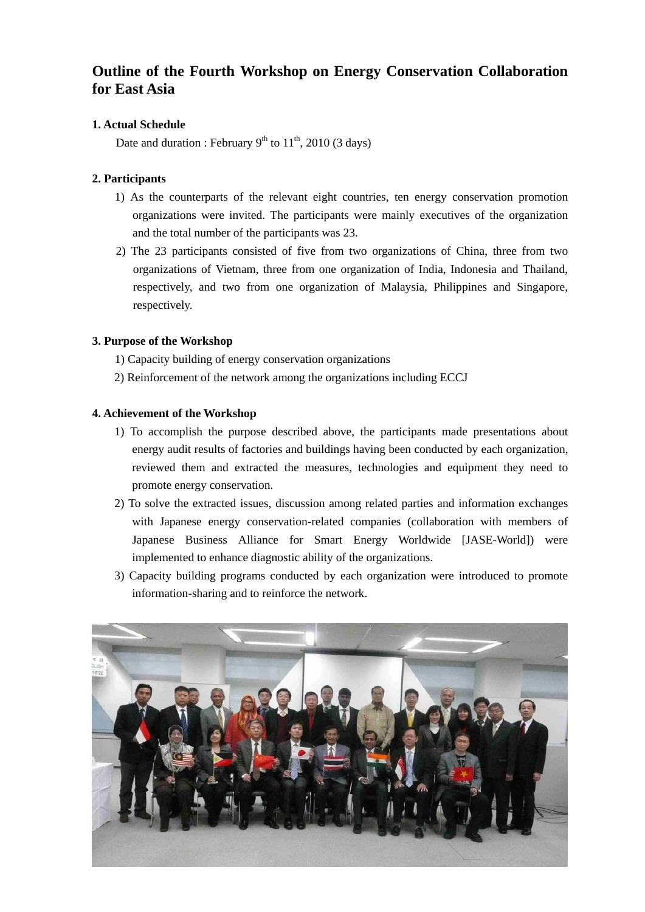## **Outline of the Fourth Workshop on Energy Conservation Collaboration for East Asia**

### **1. Actual Schedule**

Date and duration : February  $9<sup>th</sup>$  to  $11<sup>th</sup>$ , 2010 (3 days)

### **2. Participants**

- 1) As the counterparts of the relevant eight countries, ten energy conservation promotion organizations were invited. The participants were mainly executives of the organization and the total number of the participants was 23.
- 2) The 23 participants consisted of five from two organizations of China, three from two organizations of Vietnam, three from one organization of India, Indonesia and Thailand, respectively, and two from one organization of Malaysia, Philippines and Singapore, respectively.

### **3. Purpose of the Workshop**

- 1) Capacity building of energy conservation organizations
- 2) Reinforcement of the network among the organizations including ECCJ

### **4. Achievement of the Workshop**

- 1) To accomplish the purpose described above, the participants made presentations about energy audit results of factories and buildings having been conducted by each organization, reviewed them and extracted the measures, technologies and equipment they need to promote energy conservation.
- 2) To solve the extracted issues, discussion among related parties and information exchanges with Japanese energy conservation-related companies (collaboration with members of Japanese Business Alliance for Smart Energy Worldwide [JASE-World]) were implemented to enhance diagnostic ability of the organizations.
- 3) Capacity building programs conducted by each organization were introduced to promote information-sharing and to reinforce the network.